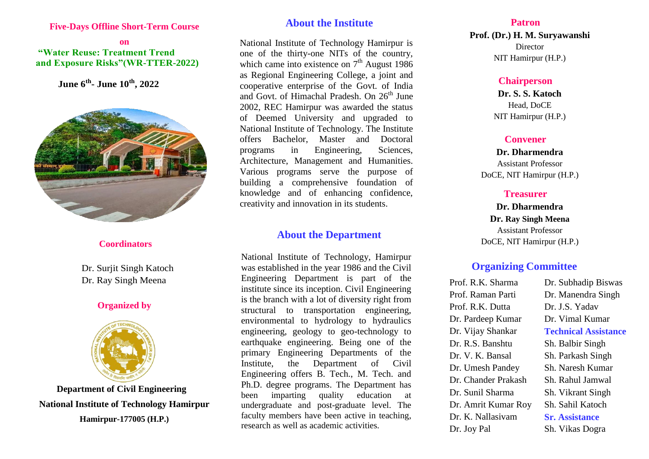#### **Five-Days Offline Short-Term Course**

### **on "Water Reuse: Treatment Trend and Exposure Risks"(WR-TTER-2022)**

 **June 6th - June 10th, 2022**



#### **Coordinators**

 Dr. Surjit Singh Katoch Dr. Ray Singh Meena

## **Organized by**



**Department of Civil Engineering National Institute of Technology Hamirpur Hamirpur-177005 (H.P.)**

# **About the Institute**

National Institute of Technology Hamirpur is one of the thirty-one NITs of the country, which came into existence on  $7<sup>th</sup>$  August 1986 as Regional Engineering College, a joint and cooperative enterprise of the Govt. of India and Govt. of Himachal Pradesh. On 26<sup>th</sup> June 2002, REC Hamirpur was awarded the status of Deemed University and upgraded to National Institute of Technology. The Institute offers Bachelor, Master and Doctoral programs in Engineering, Sciences, Architecture, Management and Humanities. Various programs serve the purpose of building a comprehensive foundation of knowledge and of enhancing confidence, creativity and innovation in its students.

## **About the Department**

National Institute of Technology, Hamirpur was established in the year 1986 and the Civil Engineering Department is part of the institute since its inception. Civil Engineering is the branch with a lot of diversity right from structural to transportation engineering, environmental to hydrology to hydraulics engineering, geology to geo-technology to earthquake engineering. Being one of the primary Engineering Departments of the Institute, the Department of Civil Engineering offers B. Tech., M. Tech. and Ph.D. degree programs. The Department has been imparting quality education at undergraduate and post-graduate level. The faculty members have been active in teaching, research as well as academic activities.

#### **Patron**

**Prof. (Dr.) H. M. Suryawanshi** Director NIT Hamirpur (H.P.)

#### **Chairperson**

**Dr. S. S. Katoch** Head, DoCE NIT Hamirpur (H.P.)

## **Convener**

**Dr. Dharmendra** Assistant Professor DoCE, NIT Hamirpur (H.P.)

### **Treasurer**

**Dr. Dharmendra Dr. Ray Singh Meena** Assistant Professor DoCE, NIT Hamirpur (H.P.)

## **Organizing Committee**

Prof. R.K. Sharma Prof. Raman Parti Prof. R.K. Dutta Dr. Pardeep Kumar Dr. Vijay Shankar Dr. R.S. Banshtu Dr. V. K. Bansal Dr. Umesh Pandey Dr. Chander Prakash Dr. Sunil Sharma Dr. Amrit Kumar Roy Dr. K. Nallasivam Dr. Joy Pal

Dr. Subhadip Biswas Dr. Manendra Singh Dr. J.S. Yadav Dr. Vimal Kumar **Technical Assistance** Sh. Balbir Singh Sh. Parkash Singh Sh. Naresh Kumar Sh. Rahul Jamwal Sh. Vikrant Singh Sh. Sahil Katoch **Sr. Assistance** Sh. Vikas Dogra